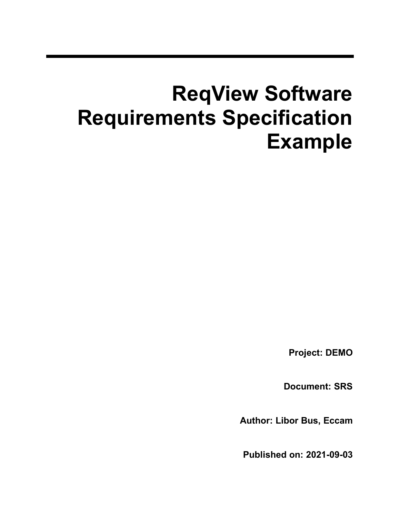# **ReqView Software Requirements Specification Example**

**Project: DEMO**

**Document: SRS**

**Author: Libor Bus, Eccam**

**Published on: 2021-09-03**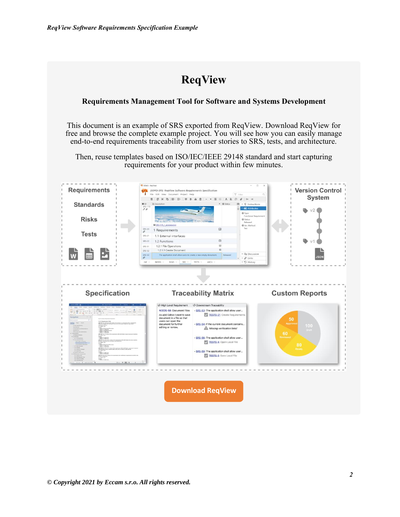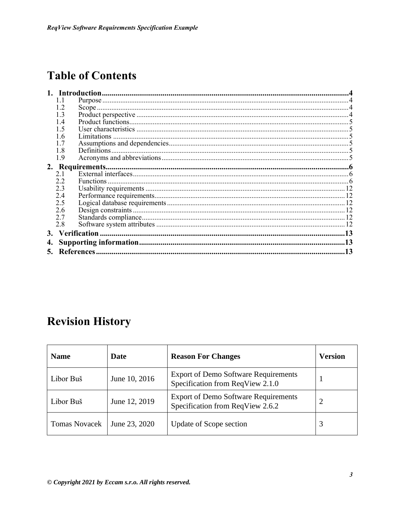## **Table of Contents**

|     | <b>Introduction</b> |  |  |  |
|-----|---------------------|--|--|--|
| 1.1 |                     |  |  |  |
| 1.2 |                     |  |  |  |
| 1.3 |                     |  |  |  |
| 1.4 |                     |  |  |  |
| 1.5 |                     |  |  |  |
| 1.6 |                     |  |  |  |
| 1.7 |                     |  |  |  |
| 1.8 |                     |  |  |  |
| 1.9 |                     |  |  |  |
|     |                     |  |  |  |
| 2.1 |                     |  |  |  |
| 2.2 |                     |  |  |  |
| 2.3 |                     |  |  |  |
| 2.4 |                     |  |  |  |
| 2.5 |                     |  |  |  |
| 2.6 |                     |  |  |  |
| 2.7 |                     |  |  |  |
| 2.8 |                     |  |  |  |
|     |                     |  |  |  |
|     |                     |  |  |  |
| 13  |                     |  |  |  |
|     |                     |  |  |  |

### **Revision History**

| <b>Name</b>          | Date          | <b>Reason For Changes</b>                                                       | <b>Version</b> |
|----------------------|---------------|---------------------------------------------------------------------------------|----------------|
| Libor Buš            | June 10, 2016 | <b>Export of Demo Software Requirements</b><br>Specification from ReqView 2.1.0 |                |
| Libor Buš            | June 12, 2019 | <b>Export of Demo Software Requirements</b><br>Specification from ReqView 2.6.2 | റ              |
| <b>Tomas Novacek</b> | June 23, 2020 | <b>Update of Scope section</b>                                                  | 3              |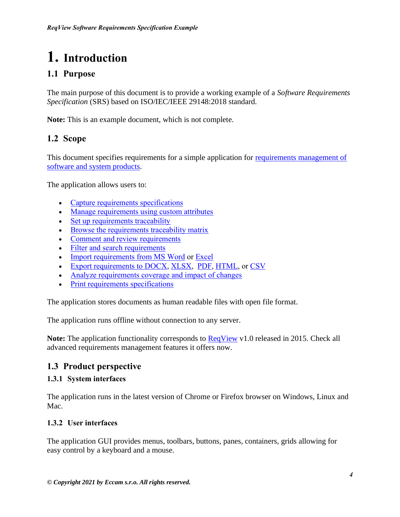# <span id="page-3-0"></span>**1. Introduction**

### <span id="page-3-1"></span>**1.1 Purpose**

The main purpose of this document is to provide a working example of a *Software Requirements Specification* (SRS) based on ISO/IEC/IEEE 29148:2018 standard.

**Note:** This is an example document, which is not complete.

#### <span id="page-3-2"></span>**1.2 Scope**

This document specifies requirements for a simple application for requirements management of [software and system products.](https://www.reqview.com/?utm_source=PDF&utm_medium=Web&utm_campaign=Examples)

The application allows users to:

- [Capture requirements specifications](https://www.reqview.com/doc/edit-document?utm_source=PDF&utm_medium=Web&utm_campaign=Examples)
- [Manage requirements using custom attributes](https://www.reqview.com/doc/edit-document?utm_source=PDF&utm_medium=Web&utm_campaign=Examples#edit-attributes)
- [Set up requirements traceability](https://www.reqview.com/doc/requirements-traceability-links?utm_source=WebApp&utm_medium=Application&utm_campaign=Examples)
- [Browse the requirements traceability matrix](https://www.reqview.com/doc/requirements-traceability-links?utm_source=PDF&utm_medium=Web&utm_campaign=Examples#traceability-matrix)
- [Comment and review requirements](https://www.reqview.com/doc/edit-document?utm_source=PDF&utm_medium=Web&utm_campaign=Examples#comment-requirements)
- [Filter](https://www.reqview.com/doc/review-document?utm_source=WebApp&utm_medium=Application&utm_campaign=Examples#filter-document-objects) [and search requirements](https://www.reqview.com/doc/review-document?utm_source=PDF&utm_medium=Web&utm_campaign=Examples#search-documents)
- [Import requirements from MS Word](https://www.reqview.com/doc/import-html-ms-word?utm_source=PDF&utm_medium=Web&utm_campaign=Examples) or [Excel](https://www.reqview.com/doc/import-csv-ms-excel?utm_source=PDF&utm_medium=Web&utm_campaign=Examples)
- [Export requirements to DOCX,](https://www.reqview.com/doc/export-docx?utm_source=PDF&utm_medium=Web&utm_campaign=Examples) [XLSX,](https://www.reqview.com/doc/export-xlsx?utm_source=PDF&utm_medium=Web&utm_campaign=Examples) [PDF,](https://www.reqview.com/doc/export-pdf?utm_source=PDF&utm_medium=Web&utm_campaign=Examples) [HTML,](https://www.reqview.com/doc/export-html?utm_source=PDF&utm_medium=Web&utm_campaign=Examples) or [CSV](https://www.reqview.com/doc/export-csv?utm_source=PDF&utm_medium=Web&utm_campaign=Examples)
- [Analyze requirements coverage and impact of changes](https://www.reqview.com/doc/requirements-traceability-links?utm_source=PDF&utm_medium=Web&utm_campaign=Examples#traceability-reports)
- [Print requirements specifications](https://www.reqview.com/doc/review-document?utm_source=PDF&utm_medium=Web&utm_campaign=Examples#print-documents)

The application stores documents as human readable files with open file format.

The application runs offline without connection to any server.

**Note:** The application functionality corresponds to [ReqView](https://www.reqview.com/?utm_source=PDF&utm_medium=Web&utm_campaign=Examples) v1.0 released in 2015. Check all advanced requirements management features it offers now.

#### <span id="page-3-3"></span>**1.3 Product perspective**

#### **1.3.1 System interfaces**

The application runs in the latest version of Chrome or Firefox browser on Windows, Linux and Mac.

#### **1.3.2 User interfaces**

The application GUI provides menus, toolbars, buttons, panes, containers, grids allowing for easy control by a keyboard and a mouse.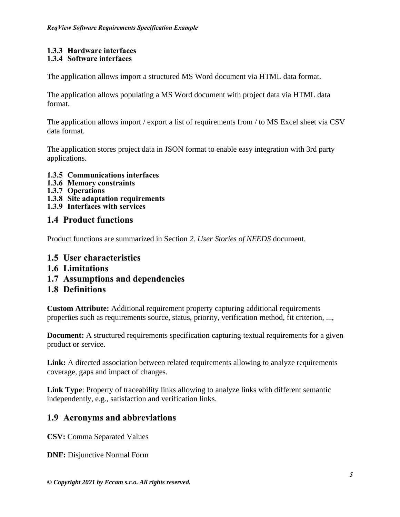### **1.3.3 Hardware interfaces**

#### **1.3.4 Software interfaces**

The application allows import a structured MS Word document via HTML data format.

The application allows populating a MS Word document with project data via HTML data format.

The application allows import / export a list of requirements from / to MS Excel sheet via CSV data format.

The application stores project data in JSON format to enable easy integration with 3rd party applications.

- **1.3.5 Communications interfaces**
- **1.3.6 Memory constraints**
- **1.3.7 Operations**
- **1.3.8 Site adaptation requirements**
- **1.3.9 Interfaces with services**

#### <span id="page-4-0"></span>**1.4 Product functions**

Product functions are summarized in Section *2. User Stories of NEEDS* document.

- <span id="page-4-1"></span>**1.5 User characteristics**
- <span id="page-4-2"></span>**1.6 Limitations**
- <span id="page-4-3"></span>**1.7 Assumptions and dependencies**

#### <span id="page-4-4"></span>**1.8 Definitions**

**Custom Attribute:** Additional requirement property capturing additional requirements properties such as requirements source, status, priority, verification method, fit criterion, ...,

**Document:** A structured requirements specification capturing textual requirements for a given product or service.

**Link:** A directed association between related requirements allowing to analyze requirements coverage, gaps and impact of changes.

**Link Type**: Property of traceability links allowing to analyze links with different semantic independently, e.g., satisfaction and verification links.

#### <span id="page-4-5"></span>**1.9 Acronyms and abbreviations**

**CSV:** Comma Separated Values

**DNF:** Disjunctive Normal Form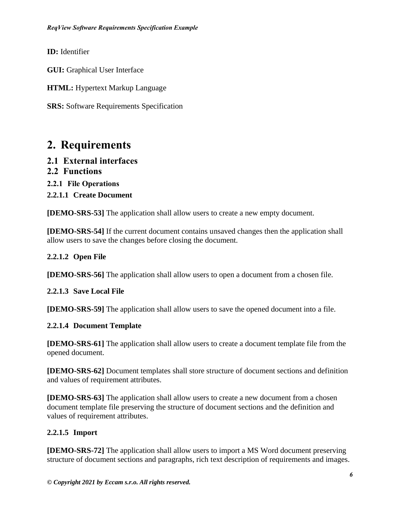**ID:** Identifier

**GUI:** Graphical User Interface

**HTML:** Hypertext Markup Language

**SRS:** Software Requirements Specification

### <span id="page-5-0"></span>**2. Requirements**

- <span id="page-5-1"></span>**2.1 External interfaces**
- <span id="page-5-2"></span>**2.2 Functions**
- **2.2.1 File Operations**
- **2.2.1.1 Create Document**

**[DEMO-SRS-53]** The application shall allow users to create a new empty document.

**[DEMO-SRS-54]** If the current document contains unsaved changes then the application shall allow users to save the changes before closing the document.

#### **2.2.1.2 Open File**

**[DEMO-SRS-56]** The application shall allow users to open a document from a chosen file.

#### **2.2.1.3 Save Local File**

**[DEMO-SRS-59]** The application shall allow users to save the opened document into a file.

#### **2.2.1.4 Document Template**

**[DEMO-SRS-61]** The application shall allow users to create a document template file from the opened document.

**[DEMO-SRS-62]** Document templates shall store structure of document sections and definition and values of requirement attributes.

**[DEMO-SRS-63]** The application shall allow users to create a new document from a chosen document template file preserving the structure of document sections and the definition and values of requirement attributes.

#### **2.2.1.5 Import**

**[DEMO-SRS-72]** The application shall allow users to import a MS Word document preserving structure of document sections and paragraphs, rich text description of requirements and images.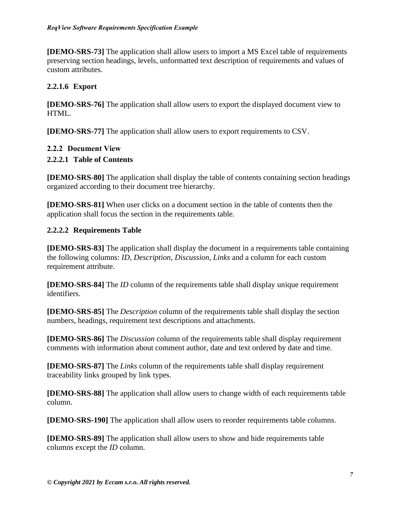**[DEMO-SRS-73]** The application shall allow users to import a MS Excel table of requirements preserving section headings, levels, unformatted text description of requirements and values of custom attributes.

#### **2.2.1.6 Export**

**[DEMO-SRS-76]** The application shall allow users to export the displayed document view to HTML.

**[DEMO-SRS-77]** The application shall allow users to export requirements to CSV.

#### **2.2.2 Document View**

#### **2.2.2.1 Table of Contents**

**[DEMO-SRS-80]** The application shall display the table of contents containing section headings organized according to their document tree hierarchy.

**[DEMO-SRS-81]** When user clicks on a document section in the table of contents then the application shall focus the section in the requirements table.

#### **2.2.2.2 Requirements Table**

**[DEMO-SRS-83]** The application shall display the document in a requirements table containing the following columns: *ID*, *Description*, *Discussion*, *Links* and a column for each custom requirement attribute.

**[DEMO-SRS-84]** The *ID* column of the requirements table shall display unique requirement identifiers.

**[DEMO-SRS-85]** The *Description* column of the requirements table shall display the section numbers, headings, requirement text descriptions and attachments.

**[DEMO-SRS-86]** The *Discussion* column of the requirements table shall display requirement comments with information about comment author, date and text ordered by date and time.

**[DEMO-SRS-87]** The *Links* column of the requirements table shall display requirement traceability links grouped by link types.

**[DEMO-SRS-88]** The application shall allow users to change width of each requirements table column.

**[DEMO-SRS-190]** The application shall allow users to reorder requirements table columns.

**[DEMO-SRS-89]** The application shall allow users to show and hide requirements table columns except the *ID* column.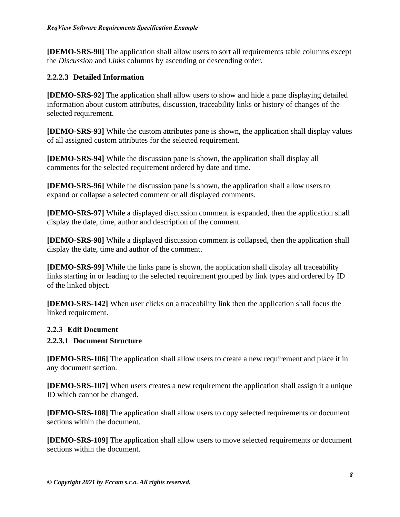**[DEMO-SRS-90]** The application shall allow users to sort all requirements table columns except the *Discussion* and *Links* columns by ascending or descending order.

#### **2.2.2.3 Detailed Information**

**[DEMO-SRS-92]** The application shall allow users to show and hide a pane displaying detailed information about custom attributes, discussion, traceability links or history of changes of the selected requirement.

**[DEMO-SRS-93]** While the custom attributes pane is shown, the application shall display values of all assigned custom attributes for the selected requirement.

**[DEMO-SRS-94]** While the discussion pane is shown, the application shall display all comments for the selected requirement ordered by date and time.

**[DEMO-SRS-96]** While the discussion pane is shown, the application shall allow users to expand or collapse a selected comment or all displayed comments.

**[DEMO-SRS-97]** While a displayed discussion comment is expanded, then the application shall display the date, time, author and description of the comment.

**[DEMO-SRS-98]** While a displayed discussion comment is collapsed, then the application shall display the date, time and author of the comment.

**[DEMO-SRS-99]** While the links pane is shown, the application shall display all traceability links starting in or leading to the selected requirement grouped by link types and ordered by ID of the linked object.

**[DEMO-SRS-142]** When user clicks on a traceability link then the application shall focus the linked requirement.

#### **2.2.3 Edit Document**

#### **2.2.3.1 Document Structure**

**[DEMO-SRS-106]** The application shall allow users to create a new requirement and place it in any document section.

**[DEMO-SRS-107]** When users creates a new requirement the application shall assign it a unique ID which cannot be changed.

**[DEMO-SRS-108]** The application shall allow users to copy selected requirements or document sections within the document.

**[DEMO-SRS-109]** The application shall allow users to move selected requirements or document sections within the document.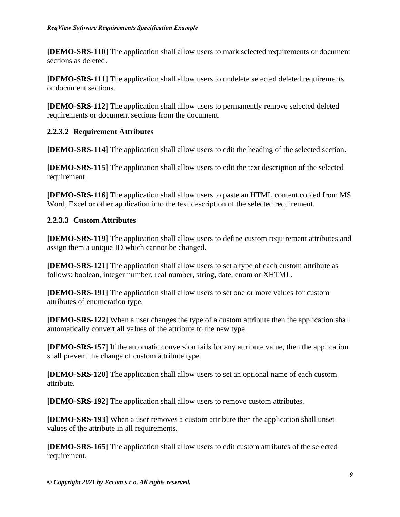**[DEMO-SRS-110]** The application shall allow users to mark selected requirements or document sections as deleted.

**[DEMO-SRS-111]** The application shall allow users to undelete selected deleted requirements or document sections.

**[DEMO-SRS-112]** The application shall allow users to permanently remove selected deleted requirements or document sections from the document.

#### **2.2.3.2 Requirement Attributes**

**[DEMO-SRS-114]** The application shall allow users to edit the heading of the selected section.

**[DEMO-SRS-115]** The application shall allow users to edit the text description of the selected requirement.

**[DEMO-SRS-116]** The application shall allow users to paste an HTML content copied from MS Word, Excel or other application into the text description of the selected requirement.

#### **2.2.3.3 Custom Attributes**

**[DEMO-SRS-119]** The application shall allow users to define custom requirement attributes and assign them a unique ID which cannot be changed.

**[DEMO-SRS-121]** The application shall allow users to set a type of each custom attribute as follows: boolean, integer number, real number, string, date, enum or XHTML.

**[DEMO-SRS-191]** The application shall allow users to set one or more values for custom attributes of enumeration type.

**[DEMO-SRS-122]** When a user changes the type of a custom attribute then the application shall automatically convert all values of the attribute to the new type.

**[DEMO-SRS-157]** If the automatic conversion fails for any attribute value, then the application shall prevent the change of custom attribute type.

**[DEMO-SRS-120]** The application shall allow users to set an optional name of each custom attribute.

**[DEMO-SRS-192]** The application shall allow users to remove custom attributes.

**[DEMO-SRS-193]** When a user removes a custom attribute then the application shall unset values of the attribute in all requirements.

**[DEMO-SRS-165]** The application shall allow users to edit custom attributes of the selected requirement.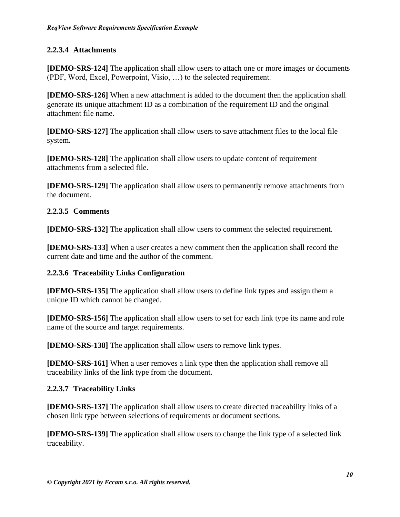#### **2.2.3.4 Attachments**

**[DEMO-SRS-124]** The application shall allow users to attach one or more images or documents (PDF, Word, Excel, Powerpoint, Visio, …) to the selected requirement.

**[DEMO-SRS-126]** When a new attachment is added to the document then the application shall generate its unique attachment ID as a combination of the requirement ID and the original attachment file name.

**[DEMO-SRS-127]** The application shall allow users to save attachment files to the local file system.

**[DEMO-SRS-128]** The application shall allow users to update content of requirement attachments from a selected file.

**[DEMO-SRS-129]** The application shall allow users to permanently remove attachments from the document.

#### **2.2.3.5 Comments**

**[DEMO-SRS-132]** The application shall allow users to comment the selected requirement.

**[DEMO-SRS-133]** When a user creates a new comment then the application shall record the current date and time and the author of the comment.

#### **2.2.3.6 Traceability Links Configuration**

**[DEMO-SRS-135]** The application shall allow users to define link types and assign them a unique ID which cannot be changed.

**[DEMO-SRS-156]** The application shall allow users to set for each link type its name and role name of the source and target requirements.

**[DEMO-SRS-138]** The application shall allow users to remove link types.

**[DEMO-SRS-161]** When a user removes a link type then the application shall remove all traceability links of the link type from the document.

#### **2.2.3.7 Traceability Links**

**[DEMO-SRS-137]** The application shall allow users to create directed traceability links of a chosen link type between selections of requirements or document sections.

**[DEMO-SRS-139]** The application shall allow users to change the link type of a selected link traceability.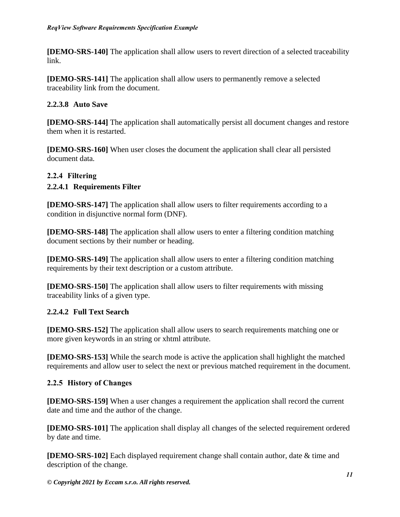**[DEMO-SRS-140]** The application shall allow users to revert direction of a selected traceability link.

**[DEMO-SRS-141]** The application shall allow users to permanently remove a selected traceability link from the document.

#### **2.2.3.8 Auto Save**

**[DEMO-SRS-144]** The application shall automatically persist all document changes and restore them when it is restarted.

**[DEMO-SRS-160]** When user closes the document the application shall clear all persisted document data.

#### **2.2.4 Filtering**

#### **2.2.4.1 Requirements Filter**

**[DEMO-SRS-147]** The application shall allow users to filter requirements according to a condition in disjunctive normal form (DNF).

**[DEMO-SRS-148]** The application shall allow users to enter a filtering condition matching document sections by their number or heading.

**[DEMO-SRS-149]** The application shall allow users to enter a filtering condition matching requirements by their text description or a custom attribute.

**[DEMO-SRS-150]** The application shall allow users to filter requirements with missing traceability links of a given type.

#### **2.2.4.2 Full Text Search**

**[DEMO-SRS-152]** The application shall allow users to search requirements matching one or more given keywords in an string or xhtml attribute.

**[DEMO-SRS-153]** While the search mode is active the application shall highlight the matched requirements and allow user to select the next or previous matched requirement in the document.

#### **2.2.5 History of Changes**

**[DEMO-SRS-159]** When a user changes a requirement the application shall record the current date and time and the author of the change.

**[DEMO-SRS-101]** The application shall display all changes of the selected requirement ordered by date and time.

**[DEMO-SRS-102]** Each displayed requirement change shall contain author, date & time and description of the change.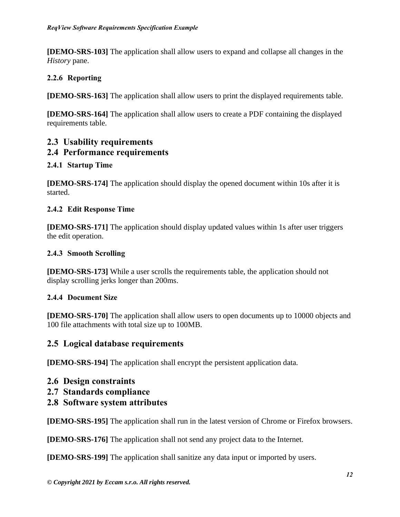**[DEMO-SRS-103]** The application shall allow users to expand and collapse all changes in the *History* pane.

#### **2.2.6 Reporting**

**[DEMO-SRS-163]** The application shall allow users to print the displayed requirements table.

**[DEMO-SRS-164]** The application shall allow users to create a PDF containing the displayed requirements table.

#### <span id="page-11-0"></span>**2.3 Usability requirements**

#### <span id="page-11-1"></span>**2.4 Performance requirements**

#### **2.4.1 Startup Time**

**[DEMO-SRS-174]** The application should display the opened document within 10s after it is started.

#### **2.4.2 Edit Response Time**

**[DEMO-SRS-171]** The application should display updated values within 1s after user triggers the edit operation.

#### **2.4.3 Smooth Scrolling**

**[DEMO-SRS-173]** While a user scrolls the requirements table, the application should not display scrolling jerks longer than 200ms.

#### **2.4.4 Document Size**

**[DEMO-SRS-170]** The application shall allow users to open documents up to 10000 objects and 100 file attachments with total size up to 100MB.

#### <span id="page-11-2"></span>**2.5 Logical database requirements**

**[DEMO-SRS-194]** The application shall encrypt the persistent application data.

- <span id="page-11-3"></span>**2.6 Design constraints**
- <span id="page-11-4"></span>**2.7 Standards compliance**
- <span id="page-11-5"></span>**2.8 Software system attributes**

**[DEMO-SRS-195]** The application shall run in the latest version of Chrome or Firefox browsers.

**[DEMO-SRS-176]** The application shall not send any project data to the Internet.

**[DEMO-SRS-199]** The application shall sanitize any data input or imported by users.